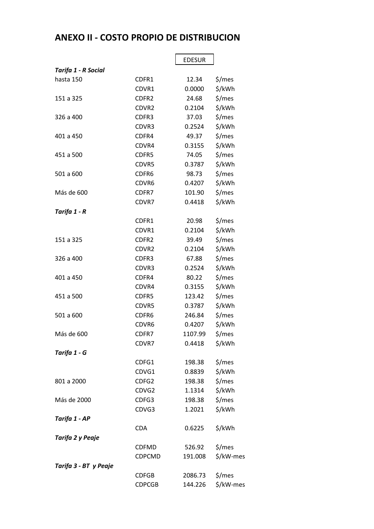## **ANEXO II - COSTO PROPIO DE DISTRIBUCION**

|                       |                   | <b>EDESUR</b> |           |
|-----------------------|-------------------|---------------|-----------|
| Tarifa 1 - R Social   |                   |               |           |
| hasta 150             | CDFR1             | 12.34         | \$/mes    |
|                       | CDVR1             | 0.0000        | \$/kWh    |
| 151 a 325             | CDFR <sub>2</sub> | 24.68         | \$/mes    |
|                       | CDVR <sub>2</sub> | 0.2104        | \$/kWh    |
| 326 a 400             | CDFR3             | 37.03         | \$/mes    |
|                       | CDVR3             | 0.2524        | \$/kWh    |
| 401 a 450             | CDFR4             | 49.37         | \$/mes    |
|                       | CDVR4             | 0.3155        | \$/kWh    |
| 451 a 500             | CDFR5             | 74.05         | \$/mes    |
|                       | CDVR5             | 0.3787        | \$/kWh    |
| 501 a 600             | CDFR6             | 98.73         | \$/mes    |
|                       | CDVR6             | 0.4207        | \$/kWh    |
| Más de 600            | CDFR7             | 101.90        | \$/mes    |
|                       | CDVR7             | 0.4418        | \$/kWh    |
| Tarifa 1 - R          |                   |               |           |
|                       | CDFR1             | 20.98         | \$/mes    |
|                       | CDVR1             | 0.2104        | \$/kWh    |
| 151 a 325             | CDFR2             | 39.49         | \$/mes    |
|                       | CDVR <sub>2</sub> | 0.2104        | \$/kWh    |
| 326 a 400             | CDFR3             | 67.88         | \$/mes    |
|                       | CDVR3             | 0.2524        | \$/kWh    |
| 401 a 450             | CDFR4             | 80.22         | \$/mes    |
|                       | CDVR4             | 0.3155        | \$/kWh    |
| 451 a 500             | CDFR5             | 123.42        | \$/mes    |
|                       | CDVR5             | 0.3787        | \$/kWh    |
| 501 a 600             | CDFR6             | 246.84        | \$/mes    |
|                       | CDVR6             | 0.4207        | \$/kWh    |
| Más de 600            | CDFR7             | 1107.99       | \$/mes    |
|                       | CDVR7             | 0.4418        | \$/kWh    |
| Tarifa 1 - G          |                   |               |           |
|                       | CDFG1             | 198.38        | \$/mes    |
|                       | CDVG1             | 0.8839        | \$/kWh    |
| 801 a 2000            | CDFG2             | 198.38        | \$/mes    |
|                       | CDVG2             | 1.1314        | \$/kWh    |
| Más de 2000           | CDFG3             | 198.38        | \$/mes    |
|                       | CDVG3             | 1.2021        | \$/kWh    |
| Tarifa 1 - AP         |                   |               |           |
|                       | <b>CDA</b>        | 0.6225        | \$/kWh    |
| Tarifa 2 y Peaje      |                   |               |           |
|                       | <b>CDFMD</b>      | 526.92        | \$/mes    |
|                       | <b>CDPCMD</b>     | 191.008       | \$/kW-mes |
| Tarifa 3 - BT y Peaje |                   |               |           |
|                       | <b>CDFGB</b>      | 2086.73       | \$/mes    |
|                       | <b>CDPCGB</b>     | 144.226       | \$/kW-mes |